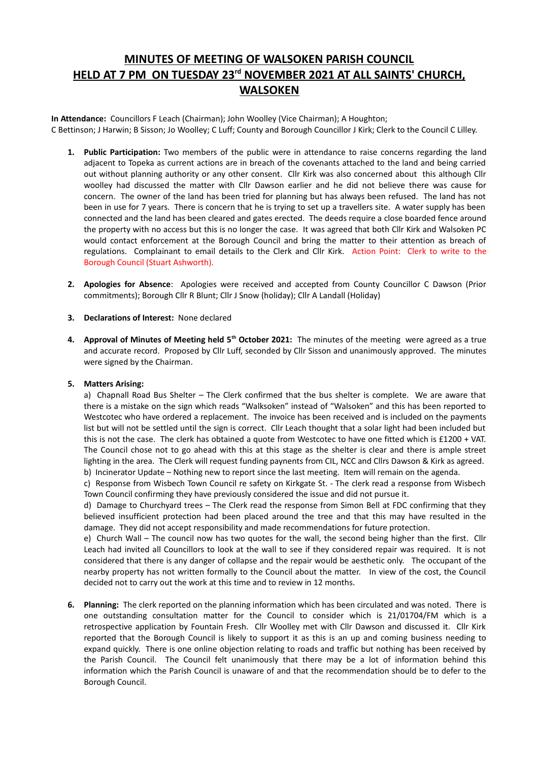# **MINUTES OF MEETING OF WALSOKEN PARISH COUNCIL HELD AT 7 PM ON TUESDAY 23rd NOVEMBER 2021 AT ALL SAINTS' CHURCH, WALSOKEN**

**In Attendance:** Councillors F Leach (Chairman); John Woolley (Vice Chairman); A Houghton; C Bettinson; J Harwin; B Sisson; Jo Woolley; C Luff; County and Borough Councillor J Kirk; Clerk to the Council C Lilley.

- **1. Public Participation:** Two members of the public were in attendance to raise concerns regarding the land adjacent to Topeka as current actions are in breach of the covenants attached to the land and being carried out without planning authority or any other consent. Cllr Kirk was also concerned about this although Cllr woolley had discussed the matter with Cllr Dawson earlier and he did not believe there was cause for concern. The owner of the land has been tried for planning but has always been refused. The land has not been in use for 7 years. There is concern that he is trying to set up a travellers site. A water supply has been connected and the land has been cleared and gates erected. The deeds require a close boarded fence around the property with no access but this is no longer the case. It was agreed that both Cllr Kirk and Walsoken PC would contact enforcement at the Borough Council and bring the matter to their attention as breach of regulations. Complainant to email details to the Clerk and Cllr Kirk. Action Point: Clerk to write to the Borough Council (Stuart Ashworth).
- **2. Apologies for Absence**: Apologies were received and accepted from County Councillor C Dawson (Prior commitments); Borough Cllr R Blunt; Cllr J Snow (holiday); Cllr A Landall (Holiday)
- **3. Declarations of Interest:** None declared
- **4. Approval of Minutes of Meeting held 5th October 2021:** The minutes of the meeting were agreed as a true and accurate record. Proposed by Cllr Luff, seconded by Cllr Sisson and unanimously approved. The minutes were signed by the Chairman.

# **5. Matters Arising:**

a) Chapnall Road Bus Shelter – The Clerk confirmed that the bus shelter is complete. We are aware that there is a mistake on the sign which reads "Walksoken" instead of "Walsoken" and this has been reported to Westcotec who have ordered a replacement. The invoice has been received and is included on the payments list but will not be settled until the sign is correct. Cllr Leach thought that a solar light had been included but this is not the case. The clerk has obtained a quote from Westcotec to have one fitted which is £1200 + VAT. The Council chose not to go ahead with this at this stage as the shelter is clear and there is ample street lighting in the area. The Clerk will request funding paynents from CIL, NCC and Cllrs Dawson & Kirk as agreed. b) Incinerator Update – Nothing new to report since the last meeting. Item will remain on the agenda.

c) Response from Wisbech Town Council re safety on Kirkgate St. - The clerk read a response from Wisbech Town Council confirming they have previously considered the issue and did not pursue it.

d) Damage to Churchyard trees – The Clerk read the response from Simon Bell at FDC confirming that they believed insufficient protection had been placed around the tree and that this may have resulted in the damage. They did not accept responsibility and made recommendations for future protection.

e) Church Wall – The council now has two quotes for the wall, the second being higher than the first. Cllr Leach had invited all Councillors to look at the wall to see if they considered repair was required. It is not considered that there is any danger of collapse and the repair would be aesthetic only. The occupant of the nearby property has not written formally to the Council about the matter. In view of the cost, the Council decided not to carry out the work at this time and to review in 12 months.

**6. Planning:** The clerk reported on the planning information which has been circulated and was noted. There is one outstanding consultation matter for the Council to consider which is 21/01704/FM which is a retrospective application by Fountain Fresh. Cllr Woolley met with Cllr Dawson and discussed it. Cllr Kirk reported that the Borough Council is likely to support it as this is an up and coming business needing to expand quickly. There is one online objection relating to roads and traffic but nothing has been received by the Parish Council. The Council felt unanimously that there may be a lot of information behind this information which the Parish Council is unaware of and that the recommendation should be to defer to the Borough Council.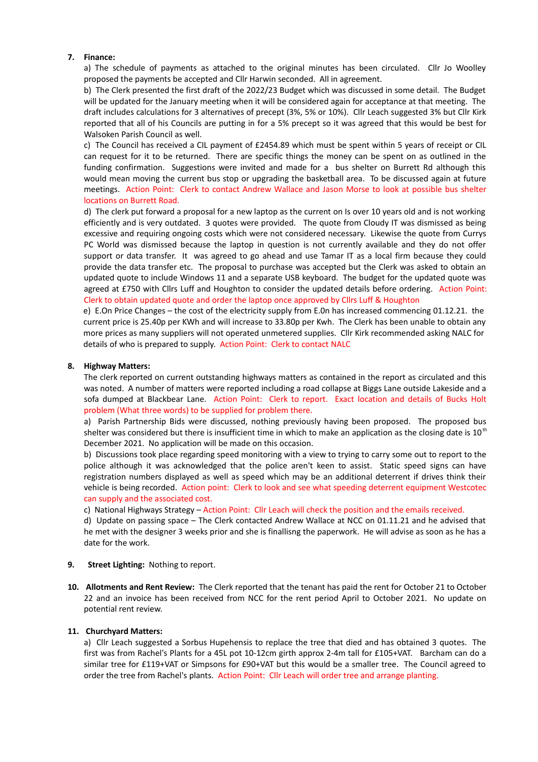## **7. Finance:**

a) The schedule of payments as attached to the original minutes has been circulated. Cllr Jo Woolley proposed the payments be accepted and Cllr Harwin seconded. All in agreement.

b) The Clerk presented the first draft of the 2022/23 Budget which was discussed in some detail. The Budget will be updated for the January meeting when it will be considered again for acceptance at that meeting. The draft includes calculations for 3 alternatives of precept (3%, 5% or 10%). Cllr Leach suggested 3% but Cllr Kirk reported that all of his Councils are putting in for a 5% precept so it was agreed that this would be best for Walsoken Parish Council as well.

c) The Council has received a CIL payment of £2454.89 which must be spent within 5 years of receipt or CIL can request for it to be returned. There are specific things the money can be spent on as outlined in the funding confirmation. Suggestions were invited and made for a bus shelter on Burrett Rd although this would mean moving the current bus stop or upgrading the basketball area. To be discussed again at future meetings. Action Point: Clerk to contact Andrew Wallace and Jason Morse to look at possible bus shelter locations on Burrett Road.

d) The clerk put forward a proposal for a new laptop as the current on Is over 10 years old and is not working efficiently and is very outdated. 3 quotes were provided. The quote from Cloudy IT was dismissed as being excessive and requiring ongoing costs which were not considered necessary. Likewise the quote from Currys PC World was dismissed because the laptop in question is not currently available and they do not offer support or data transfer. It was agreed to go ahead and use Tamar IT as a local firm because they could provide the data transfer etc. The proposal to purchase was accepted but the Clerk was asked to obtain an updated quote to include Windows 11 and a separate USB keyboard. The budget for the updated quote was agreed at £750 with Cllrs Luff and Houghton to consider the updated details before ordering. Action Point: Clerk to obtain updated quote and order the laptop once approved by Cllrs Luff & Houghton

e) E.On Price Changes – the cost of the electricity supply from E.0n has increased commencing 01.12.21. the current price is 25.40p per KWh and will increase to 33.80p per Kwh. The Clerk has been unable to obtain any more prices as many suppliers will not operated unmetered supplies. Cllr Kirk recommended asking NALC for details of who is prepared to supply. Action Point: Clerk to contact NALC

#### **8. Highway Matters:**

The clerk reported on current outstanding highways matters as contained in the report as circulated and this was noted. A number of matters were reported including a road collapse at Biggs Lane outside Lakeside and a sofa dumped at Blackbear Lane. Action Point: Clerk to report. Exact location and details of Bucks Holt problem (What three words) to be supplied for problem there.

a) Parish Partnership Bids were discussed, nothing previously having been proposed. The proposed bus shelter was considered but there is insufficient time in which to make an application as the closing date is  $10^{th}$ December 2021. No application will be made on this occasion.

b) Discussions took place regarding speed monitoring with a view to trying to carry some out to report to the police although it was acknowledged that the police aren't keen to assist. Static speed signs can have registration numbers displayed as well as speed which may be an additional deterrent if drives think their vehicle is being recorded. Action point: Clerk to look and see what speeding deterrent equipment Westcotec can supply and the associated cost.

c) National Highways Strategy – Action Point: Cllr Leach will check the position and the emails received.

d) Update on passing space – The Clerk contacted Andrew Wallace at NCC on 01.11.21 and he advised that he met with the designer 3 weeks prior and she is finallisng the paperwork. He will advise as soon as he has a date for the work.

- **9. Street Lighting:** Nothing to report.
- **10. Allotments and Rent Review:** The Clerk reported that the tenant has paid the rent for October 21 to October 22 and an invoice has been received from NCC for the rent period April to October 2021. No update on potential rent review.

#### **11. Churchyard Matters:**

a) Cllr Leach suggested a Sorbus Hupehensis to replace the tree that died and has obtained 3 quotes. The first was from Rachel's Plants for a 45L pot 10-12cm girth approx 2-4m tall for £105+VAT. Barcham can do a similar tree for £119+VAT or Simpsons for £90+VAT but this would be a smaller tree. The Council agreed to order the tree from Rachel's plants. Action Point: Cllr Leach will order tree and arrange planting.